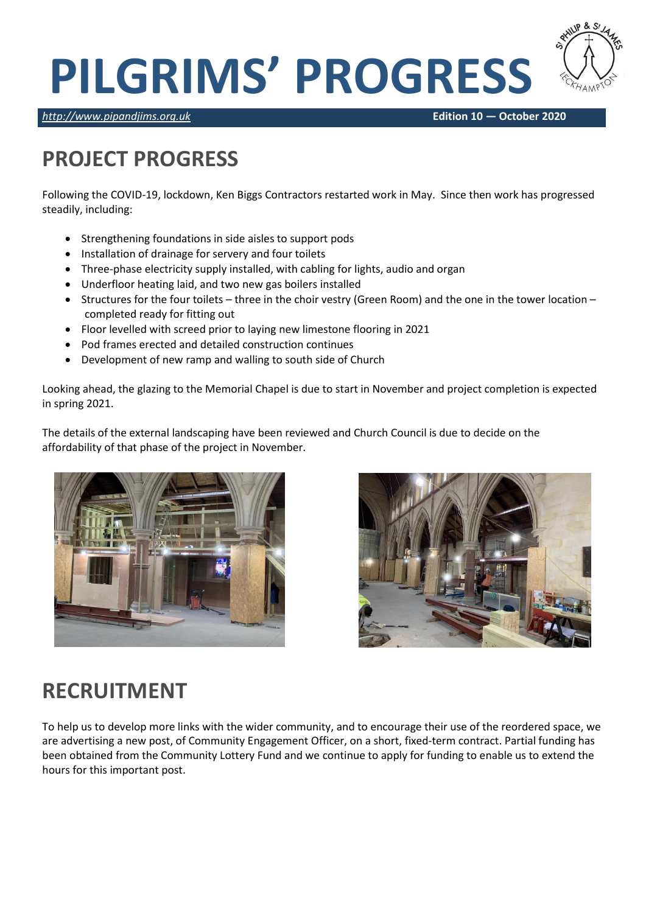# **PILGRIMS' PROGRESS**



*[http://www.pipandjims.org.uk](http://www.pipandjims.org.uk/)* **Edition 10 — October 2020**

## **PROJECT PROGRESS**

Following the COVID-19, lockdown, Ken Biggs Contractors restarted work in May. Since then work has progressed steadily, including:

- Strengthening foundations in side aisles to support pods
- Installation of drainage for servery and four toilets
- Three-phase electricity supply installed, with cabling for lights, audio and organ
- Underfloor heating laid, and two new gas boilers installed
- Structures for the four toilets three in the choir vestry (Green Room) and the one in the tower location completed ready for fitting out
- Floor levelled with screed prior to laying new limestone flooring in 2021
- Pod frames erected and detailed construction continues
- Development of new ramp and walling to south side of Church

Looking ahead, the glazing to the Memorial Chapel is due to start in November and project completion is expected in spring 2021.

The details of the external landscaping have been reviewed and Church Council is due to decide on the affordability of that phase of the project in November.





### **RECRUITMENT**

To help us to develop more links with the wider community, and to encourage their use of the reordered space, we are advertising a new post, of Community Engagement Officer, on a short, fixed-term contract. Partial funding has been obtained from the Community Lottery Fund and we continue to apply for funding to enable us to extend the hours for this important post.